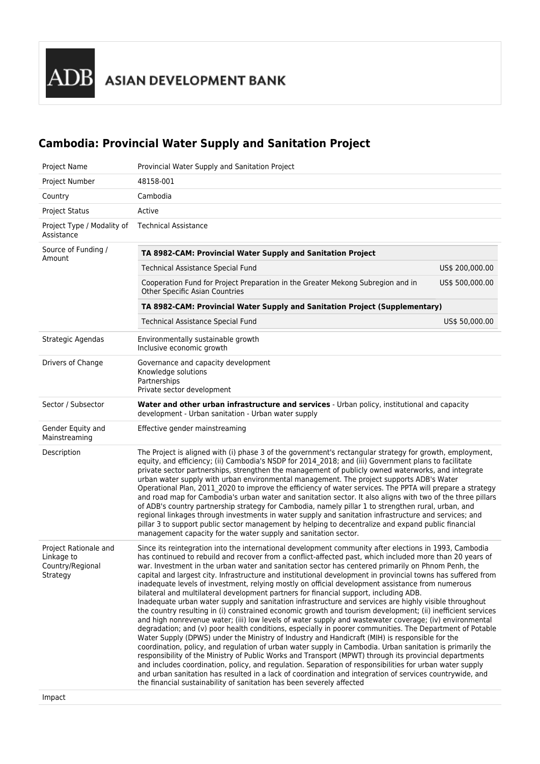ADB ASIAN DEVELOPMENT BANK

# **Cambodia: Provincial Water Supply and Sanitation Project**

| Project Number<br>48158-001<br>Country<br>Cambodia<br><b>Project Status</b><br>Active<br><b>Technical Assistance</b><br>Project Type / Modality of<br>Assistance<br>Source of Funding /<br>TA 8982-CAM: Provincial Water Supply and Sanitation Project<br>Amount<br><b>Technical Assistance Special Fund</b><br>Cooperation Fund for Project Preparation in the Greater Mekong Subregion and in<br><b>Other Specific Asian Countries</b><br>TA 8982-CAM: Provincial Water Supply and Sanitation Project (Supplementary)<br><b>Technical Assistance Special Fund</b><br>Strategic Agendas<br>Environmentally sustainable growth<br>Inclusive economic growth<br>Drivers of Change<br>Governance and capacity development<br>Knowledge solutions<br>Partnerships<br>Private sector development<br>Sector / Subsector<br>Water and other urban infrastructure and services - Urban policy, institutional and capacity<br>development - Urban sanitation - Urban water supply<br>Gender Equity and<br>Effective gender mainstreaming<br>Mainstreaming<br>Description<br>The Project is aligned with (i) phase 3 of the government's rectangular strategy for growth, employment,<br>equity, and efficiency; (ii) Cambodia's NSDP for 2014_2018; and (iii) Government plans to facilitate<br>private sector partnerships, strengthen the management of publicly owned waterworks, and integrate<br>urban water supply with urban environmental management. The project supports ADB's Water<br>Operational Plan, 2011_2020 to improve the efficiency of water services. The PPTA will prepare a strategy<br>and road map for Cambodia's urban water and sanitation sector. It also aligns with two of the three pillars<br>of ADB's country partnership strategy for Cambodia, namely pillar 1 to strengthen rural, urban, and<br>regional linkages through investments in water supply and sanitation infrastructure and services; and<br>pillar 3 to support public sector management by helping to decentralize and expand public financial<br>management capacity for the water supply and sanitation sector.<br>Project Rationale and<br>Since its reintegration into the international development community after elections in 1993, Cambodia<br>Linkage to<br>has continued to rebuild and recover from a conflict-affected past, which included more than 20 years of<br>war. Investment in the urban water and sanitation sector has centered primarily on Phnom Penh, the<br>Country/Regional<br>capital and largest city. Infrastructure and institutional development in provincial towns has suffered from<br>Strategy<br>inadequate levels of investment, relying mostly on official development assistance from numerous<br>bilateral and multilateral development partners for financial support, including ADB.<br>Inadequate urban water supply and sanitation infrastructure and services are highly visible throughout<br>the country resulting in (i) constrained economic growth and tourism development; (ii) inefficient services<br>and high nonrevenue water; (iii) low levels of water supply and wastewater coverage; (iv) environmental<br>degradation; and (v) poor health conditions, especially in poorer communities. The Department of Potable<br>Water Supply (DPWS) under the Ministry of Industry and Handicraft (MIH) is responsible for the<br>coordination, policy, and regulation of urban water supply in Cambodia. Urban sanitation is primarily the<br>responsibility of the Ministry of Public Works and Transport (MPWT) through its provincial departments<br>and includes coordination, policy, and regulation. Separation of responsibilities for urban water supply<br>and urban sanitation has resulted in a lack of coordination and integration of services countrywide, and<br>the financial sustainability of sanitation has been severely affected | Project Name | Provincial Water Supply and Sanitation Project |                 |
|--------------------------------------------------------------------------------------------------------------------------------------------------------------------------------------------------------------------------------------------------------------------------------------------------------------------------------------------------------------------------------------------------------------------------------------------------------------------------------------------------------------------------------------------------------------------------------------------------------------------------------------------------------------------------------------------------------------------------------------------------------------------------------------------------------------------------------------------------------------------------------------------------------------------------------------------------------------------------------------------------------------------------------------------------------------------------------------------------------------------------------------------------------------------------------------------------------------------------------------------------------------------------------------------------------------------------------------------------------------------------------------------------------------------------------------------------------------------------------------------------------------------------------------------------------------------------------------------------------------------------------------------------------------------------------------------------------------------------------------------------------------------------------------------------------------------------------------------------------------------------------------------------------------------------------------------------------------------------------------------------------------------------------------------------------------------------------------------------------------------------------------------------------------------------------------------------------------------------------------------------------------------------------------------------------------------------------------------------------------------------------------------------------------------------------------------------------------------------------------------------------------------------------------------------------------------------------------------------------------------------------------------------------------------------------------------------------------------------------------------------------------------------------------------------------------------------------------------------------------------------------------------------------------------------------------------------------------------------------------------------------------------------------------------------------------------------------------------------------------------------------------------------------------------------------------------------------------------------------------------------------------------------------------------------------------------------------------------------------------------------------------------------------------------------------------------------------------------------------------------------------------------------------------------------------------------------------------------------------------------------------------------------------------------------------------------------------------------------------------------------------------------------------------------------------------------------------------------------------------------------------------------------------|--------------|------------------------------------------------|-----------------|
|                                                                                                                                                                                                                                                                                                                                                                                                                                                                                                                                                                                                                                                                                                                                                                                                                                                                                                                                                                                                                                                                                                                                                                                                                                                                                                                                                                                                                                                                                                                                                                                                                                                                                                                                                                                                                                                                                                                                                                                                                                                                                                                                                                                                                                                                                                                                                                                                                                                                                                                                                                                                                                                                                                                                                                                                                                                                                                                                                                                                                                                                                                                                                                                                                                                                                                                                                                                                                                                                                                                                                                                                                                                                                                                                                                                                                                                                                                        |              |                                                |                 |
|                                                                                                                                                                                                                                                                                                                                                                                                                                                                                                                                                                                                                                                                                                                                                                                                                                                                                                                                                                                                                                                                                                                                                                                                                                                                                                                                                                                                                                                                                                                                                                                                                                                                                                                                                                                                                                                                                                                                                                                                                                                                                                                                                                                                                                                                                                                                                                                                                                                                                                                                                                                                                                                                                                                                                                                                                                                                                                                                                                                                                                                                                                                                                                                                                                                                                                                                                                                                                                                                                                                                                                                                                                                                                                                                                                                                                                                                                                        |              |                                                |                 |
|                                                                                                                                                                                                                                                                                                                                                                                                                                                                                                                                                                                                                                                                                                                                                                                                                                                                                                                                                                                                                                                                                                                                                                                                                                                                                                                                                                                                                                                                                                                                                                                                                                                                                                                                                                                                                                                                                                                                                                                                                                                                                                                                                                                                                                                                                                                                                                                                                                                                                                                                                                                                                                                                                                                                                                                                                                                                                                                                                                                                                                                                                                                                                                                                                                                                                                                                                                                                                                                                                                                                                                                                                                                                                                                                                                                                                                                                                                        |              |                                                |                 |
|                                                                                                                                                                                                                                                                                                                                                                                                                                                                                                                                                                                                                                                                                                                                                                                                                                                                                                                                                                                                                                                                                                                                                                                                                                                                                                                                                                                                                                                                                                                                                                                                                                                                                                                                                                                                                                                                                                                                                                                                                                                                                                                                                                                                                                                                                                                                                                                                                                                                                                                                                                                                                                                                                                                                                                                                                                                                                                                                                                                                                                                                                                                                                                                                                                                                                                                                                                                                                                                                                                                                                                                                                                                                                                                                                                                                                                                                                                        |              |                                                |                 |
|                                                                                                                                                                                                                                                                                                                                                                                                                                                                                                                                                                                                                                                                                                                                                                                                                                                                                                                                                                                                                                                                                                                                                                                                                                                                                                                                                                                                                                                                                                                                                                                                                                                                                                                                                                                                                                                                                                                                                                                                                                                                                                                                                                                                                                                                                                                                                                                                                                                                                                                                                                                                                                                                                                                                                                                                                                                                                                                                                                                                                                                                                                                                                                                                                                                                                                                                                                                                                                                                                                                                                                                                                                                                                                                                                                                                                                                                                                        |              |                                                |                 |
|                                                                                                                                                                                                                                                                                                                                                                                                                                                                                                                                                                                                                                                                                                                                                                                                                                                                                                                                                                                                                                                                                                                                                                                                                                                                                                                                                                                                                                                                                                                                                                                                                                                                                                                                                                                                                                                                                                                                                                                                                                                                                                                                                                                                                                                                                                                                                                                                                                                                                                                                                                                                                                                                                                                                                                                                                                                                                                                                                                                                                                                                                                                                                                                                                                                                                                                                                                                                                                                                                                                                                                                                                                                                                                                                                                                                                                                                                                        |              |                                                | US\$ 200,000.00 |
|                                                                                                                                                                                                                                                                                                                                                                                                                                                                                                                                                                                                                                                                                                                                                                                                                                                                                                                                                                                                                                                                                                                                                                                                                                                                                                                                                                                                                                                                                                                                                                                                                                                                                                                                                                                                                                                                                                                                                                                                                                                                                                                                                                                                                                                                                                                                                                                                                                                                                                                                                                                                                                                                                                                                                                                                                                                                                                                                                                                                                                                                                                                                                                                                                                                                                                                                                                                                                                                                                                                                                                                                                                                                                                                                                                                                                                                                                                        |              |                                                | US\$ 500,000.00 |
|                                                                                                                                                                                                                                                                                                                                                                                                                                                                                                                                                                                                                                                                                                                                                                                                                                                                                                                                                                                                                                                                                                                                                                                                                                                                                                                                                                                                                                                                                                                                                                                                                                                                                                                                                                                                                                                                                                                                                                                                                                                                                                                                                                                                                                                                                                                                                                                                                                                                                                                                                                                                                                                                                                                                                                                                                                                                                                                                                                                                                                                                                                                                                                                                                                                                                                                                                                                                                                                                                                                                                                                                                                                                                                                                                                                                                                                                                                        |              |                                                |                 |
|                                                                                                                                                                                                                                                                                                                                                                                                                                                                                                                                                                                                                                                                                                                                                                                                                                                                                                                                                                                                                                                                                                                                                                                                                                                                                                                                                                                                                                                                                                                                                                                                                                                                                                                                                                                                                                                                                                                                                                                                                                                                                                                                                                                                                                                                                                                                                                                                                                                                                                                                                                                                                                                                                                                                                                                                                                                                                                                                                                                                                                                                                                                                                                                                                                                                                                                                                                                                                                                                                                                                                                                                                                                                                                                                                                                                                                                                                                        |              |                                                | US\$ 50,000.00  |
|                                                                                                                                                                                                                                                                                                                                                                                                                                                                                                                                                                                                                                                                                                                                                                                                                                                                                                                                                                                                                                                                                                                                                                                                                                                                                                                                                                                                                                                                                                                                                                                                                                                                                                                                                                                                                                                                                                                                                                                                                                                                                                                                                                                                                                                                                                                                                                                                                                                                                                                                                                                                                                                                                                                                                                                                                                                                                                                                                                                                                                                                                                                                                                                                                                                                                                                                                                                                                                                                                                                                                                                                                                                                                                                                                                                                                                                                                                        |              |                                                |                 |
|                                                                                                                                                                                                                                                                                                                                                                                                                                                                                                                                                                                                                                                                                                                                                                                                                                                                                                                                                                                                                                                                                                                                                                                                                                                                                                                                                                                                                                                                                                                                                                                                                                                                                                                                                                                                                                                                                                                                                                                                                                                                                                                                                                                                                                                                                                                                                                                                                                                                                                                                                                                                                                                                                                                                                                                                                                                                                                                                                                                                                                                                                                                                                                                                                                                                                                                                                                                                                                                                                                                                                                                                                                                                                                                                                                                                                                                                                                        |              |                                                |                 |
|                                                                                                                                                                                                                                                                                                                                                                                                                                                                                                                                                                                                                                                                                                                                                                                                                                                                                                                                                                                                                                                                                                                                                                                                                                                                                                                                                                                                                                                                                                                                                                                                                                                                                                                                                                                                                                                                                                                                                                                                                                                                                                                                                                                                                                                                                                                                                                                                                                                                                                                                                                                                                                                                                                                                                                                                                                                                                                                                                                                                                                                                                                                                                                                                                                                                                                                                                                                                                                                                                                                                                                                                                                                                                                                                                                                                                                                                                                        |              |                                                |                 |
|                                                                                                                                                                                                                                                                                                                                                                                                                                                                                                                                                                                                                                                                                                                                                                                                                                                                                                                                                                                                                                                                                                                                                                                                                                                                                                                                                                                                                                                                                                                                                                                                                                                                                                                                                                                                                                                                                                                                                                                                                                                                                                                                                                                                                                                                                                                                                                                                                                                                                                                                                                                                                                                                                                                                                                                                                                                                                                                                                                                                                                                                                                                                                                                                                                                                                                                                                                                                                                                                                                                                                                                                                                                                                                                                                                                                                                                                                                        |              |                                                |                 |
|                                                                                                                                                                                                                                                                                                                                                                                                                                                                                                                                                                                                                                                                                                                                                                                                                                                                                                                                                                                                                                                                                                                                                                                                                                                                                                                                                                                                                                                                                                                                                                                                                                                                                                                                                                                                                                                                                                                                                                                                                                                                                                                                                                                                                                                                                                                                                                                                                                                                                                                                                                                                                                                                                                                                                                                                                                                                                                                                                                                                                                                                                                                                                                                                                                                                                                                                                                                                                                                                                                                                                                                                                                                                                                                                                                                                                                                                                                        |              |                                                |                 |
|                                                                                                                                                                                                                                                                                                                                                                                                                                                                                                                                                                                                                                                                                                                                                                                                                                                                                                                                                                                                                                                                                                                                                                                                                                                                                                                                                                                                                                                                                                                                                                                                                                                                                                                                                                                                                                                                                                                                                                                                                                                                                                                                                                                                                                                                                                                                                                                                                                                                                                                                                                                                                                                                                                                                                                                                                                                                                                                                                                                                                                                                                                                                                                                                                                                                                                                                                                                                                                                                                                                                                                                                                                                                                                                                                                                                                                                                                                        |              |                                                |                 |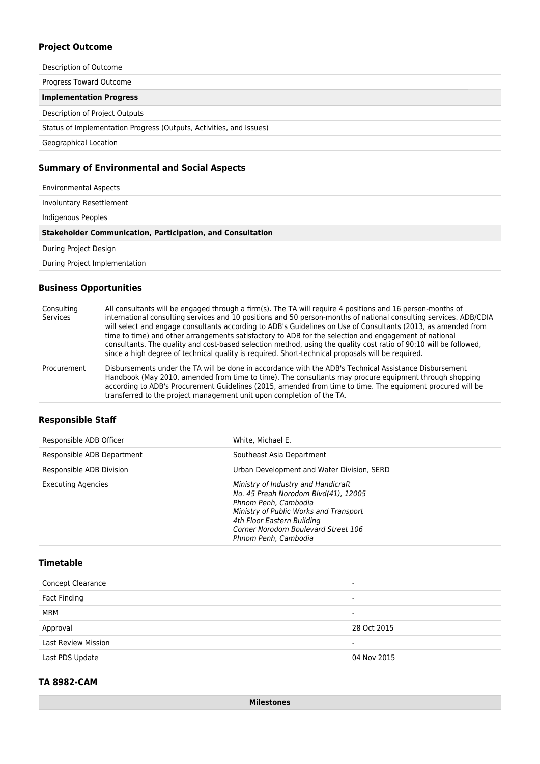### **Project Outcome**

Description of Outcome Progress Toward Outcome **Implementation Progress** Description of Project Outputs Status of Implementation Progress (Outputs, Activities, and Issues) Geographical Location

## **Summary of Environmental and Social Aspects**

| <b>Environmental Aspects</b>                                      |  |
|-------------------------------------------------------------------|--|
| Involuntary Resettlement                                          |  |
| Indigenous Peoples                                                |  |
| <b>Stakeholder Communication, Participation, and Consultation</b> |  |
| During Project Design                                             |  |
| During Project Implementation                                     |  |

### **Business Opportunities**

| Consulting<br>Services | All consultants will be engaged through a firm(s). The TA will require 4 positions and 16 person-months of<br>international consulting services and 10 positions and 50 person-months of national consulting services. ADB/CDIA<br>will select and engage consultants according to ADB's Guidelines on Use of Consultants (2013, as amended from<br>time to time) and other arrangements satisfactory to ADB for the selection and engagement of national<br>consultants. The quality and cost-based selection method, using the quality cost ratio of 90:10 will be followed,<br>since a high degree of technical quality is required. Short-technical proposals will be required. |
|------------------------|-------------------------------------------------------------------------------------------------------------------------------------------------------------------------------------------------------------------------------------------------------------------------------------------------------------------------------------------------------------------------------------------------------------------------------------------------------------------------------------------------------------------------------------------------------------------------------------------------------------------------------------------------------------------------------------|
| Procurement            | Disbursements under the TA will be done in accordance with the ADB's Technical Assistance Disbursement<br>Handbook (May 2010, amended from time to time). The consultants may procure equipment through shopping<br>according to ADB's Procurement Guidelines (2015, amended from time to time. The equipment procured will be<br>transferred to the project management unit upon completion of the TA.                                                                                                                                                                                                                                                                             |

#### **Responsible Staff**

| Responsible ADB Officer    | White, Michael E.                                                                                                                                                                                                                          |
|----------------------------|--------------------------------------------------------------------------------------------------------------------------------------------------------------------------------------------------------------------------------------------|
| Responsible ADB Department | Southeast Asia Department                                                                                                                                                                                                                  |
| Responsible ADB Division   | Urban Development and Water Division, SERD                                                                                                                                                                                                 |
| <b>Executing Agencies</b>  | Ministry of Industry and Handicraft<br>No. 45 Preah Norodom Blvd(41), 12005<br>Phnom Penh, Cambodia<br>Ministry of Public Works and Transport<br>4th Floor Eastern Building<br>Corner Norodom Boulevard Street 106<br>Phnom Penh, Cambodia |

## **Timetable**

| <b>Concept Clearance</b>   | $\overline{\phantom{a}}$ |
|----------------------------|--------------------------|
| Fact Finding               | $\overline{\phantom{a}}$ |
| MRM                        | $\blacksquare$           |
| Approval                   | 28 Oct 2015              |
| <b>Last Review Mission</b> | -                        |
| Last PDS Update            | 04 Nov 2015              |
|                            |                          |

## **TA 8982-CAM**